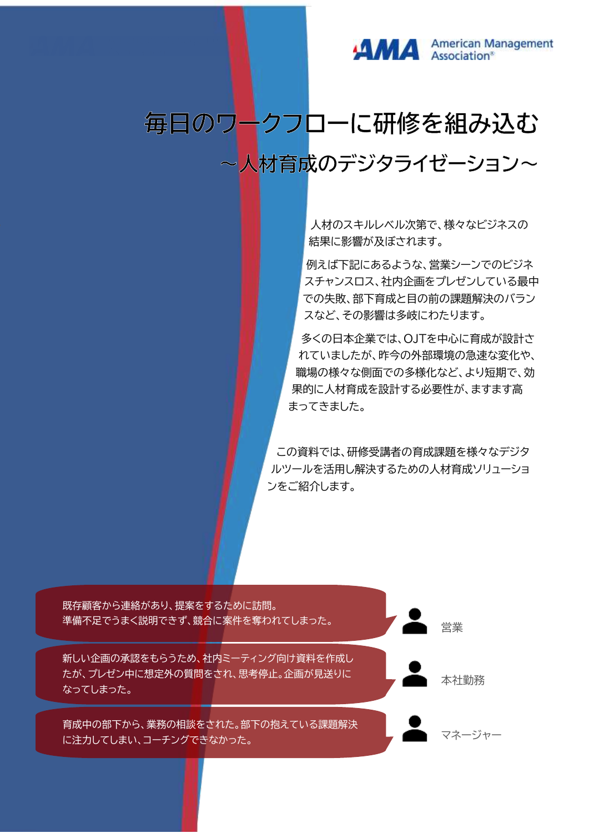

# 毎日のワークフローに研修を組み込む

~人材育成のデジタライゼーション~

人材のスキルレベル次第で、様々なビジネスの 結果に影響が及ぼされます。

例えば下記にあるような、営業シーンでのビジネ スチャンスロス、社内企画をプレゼンしている最中 での失敗、部下育成と目の前の課題解決のバラン スなど、その影響は多岐にわたります。

多くの日本企業では、OJTを中心に育成が設計さ れていましたが、昨今の外部環境の急速な変化や、 職場の様々な側面での多様化など、より短期で、効 果的に人材育成を設計する必要性が、ますます高 まってきました。

この資料では、研修受講者の育成課題を様々なデジタ ルツールを活用し解決するための人材育成ソリューショ ンをご紹介します。

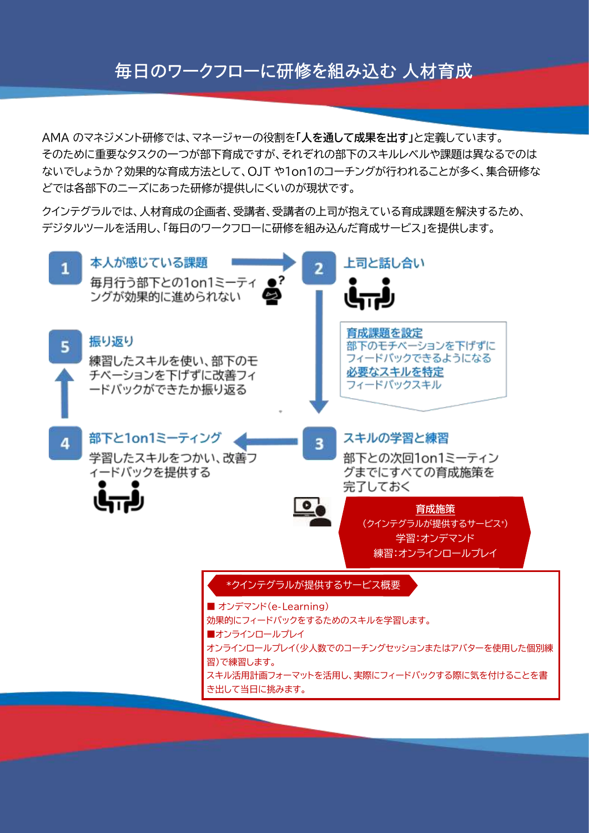# 毎日のワークフローに研修を組み込む 人材育成

AMA のマネジメント研修では、マネージャーの役割を**「人を通して成果を出す」**と定義しています。 そのために重要なタスクの一つが部下育成ですが、それぞれの部下のスキルレベルや課題は異なるでのは ないでしょうか?効果的な育成方法として、OJT や1on1のコーチングが行われることが多く、集合研修な どでは各部下のニーズにあった研修が提供しにくいのが現状です。

クインテグラルでは、人材育成の企画者、受講者、受講者の上司が抱えている育成課題を解決するため、 デジタルツールを活用し、「毎日のワークフローに研修を組み込んだ育成サービス」を提供します。

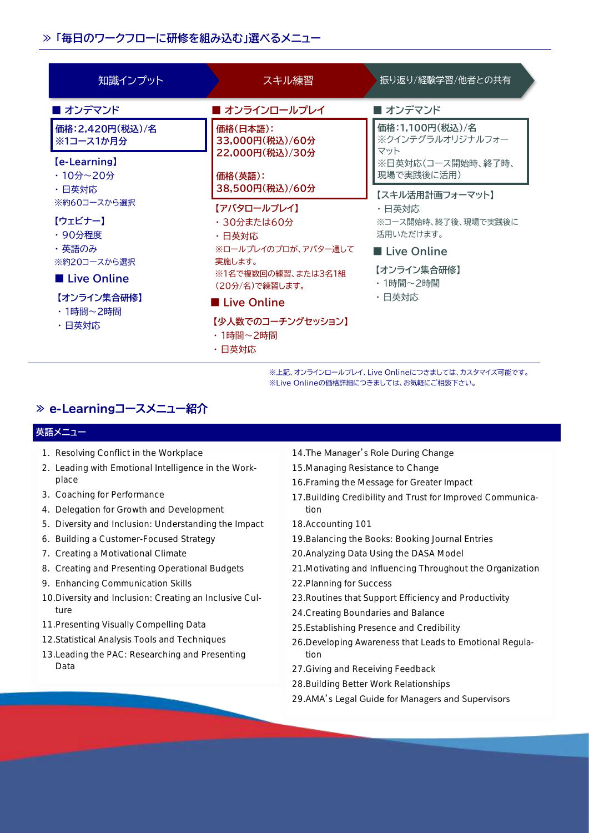### **≫ 「毎日のワークフローに研修を組み込む」選べるメニュー**

| 知識インプット                          | スキル練習                                                                                                       | 振り返り/経験学習/他者との共有                                                              |
|----------------------------------|-------------------------------------------------------------------------------------------------------------|-------------------------------------------------------------------------------|
| ■ オンデマンド                         | ■ オンラインロールプレイ                                                                                               | ■ オンデマンド                                                                      |
| 価格: 2,420円(税込)/名<br>※1コース1か月分    | 価格(日本語):<br>33,000円(税込)/60分<br>22,000円(税込)/30分<br>価格(英語):                                                   | 価格:1,100円(税込)/名<br>※クインテグラルオリジナルフォー<br>マット<br>※日英対応(コース開始時、終了時、<br>現場で実践後に活用) |
| <b>(e-Learning)</b><br>・10分~20分  |                                                                                                             |                                                                               |
| ・日英対応<br>※約60コースから選択             | 38,500円(税込)/60分                                                                                             | 【スキル活用計画フォーマット】                                                               |
| 【ウェビナー】<br>・90分程度                | 【アバタロールプレイ】<br>・30分または60分<br>・日英対応<br>※ロールプレイのプロが、アバター通して<br>実施します。<br>※1名で複数回の練習、または3名1組<br>(20分/名)で練習します。 | ・日英対応<br>※コース開始時、終了後、現場で実践後に<br>活用いただけます。                                     |
| ・英語のみ<br>※約20コースから選択             |                                                                                                             | ■ Live Online                                                                 |
| <b>■ Live Online</b>             |                                                                                                             | 【オンライン集合研修】<br>・1時間~2時間<br>・日英対応                                              |
| 【オンライン集合研修】<br>・1時間~2時間<br>・日英対応 | ■ Live Online                                                                                               |                                                                               |
|                                  | 【少人数でのコーチングセッション】<br>・1時間~2時間<br>・日英対応                                                                      |                                                                               |

※上記、オンラインロールプレイ、Live Onlineにつきましては、カスタマイズ可能です。 ※Live Onlineの価格詳細につきましては、お気軽にご相談下さい。

# **≫ e-Learningコースメニュー紹介**

#### **英語メニュー**

- 1. Resolving Conflict in the Workplace
- 2. Leading with Emotional Intelligence in the Workplace
- 3. Coaching for Performance
- 4. Delegation for Growth and Development
- 5. Diversity and Inclusion: Understanding the Impact
- 6. Building a Customer-Focused Strategy
- 7. Creating a Motivational Climate
- 8. Creating and Presenting Operational Budgets
- 9. Enhancing Communication Skills
- 10.Diversity and Inclusion: Creating an Inclusive Culture
- 11.Presenting Visually Compelling Data
- 12.Statistical Analysis Tools and Techniques
- 13.Leading the PAC: Researching and Presenting Data

#### 14.The Manager's Role During Change

- 15.Managing Resistance to Change
- 16.Framing the Message for Greater Impact
- 17.Building Credibility and Trust for Improved Communication
- 18.Accounting 101
- 19.Balancing the Books: Booking Journal Entries
- 20.Analyzing Data Using the DASA Model
- 21.Motivating and Influencing Throughout the Organization
- 22.Planning for Success
- 23.Routines that Support Efficiency and Productivity
- 24.Creating Boundaries and Balance
- 25.Establishing Presence and Credibility
- 26.Developing Awareness that Leads to Emotional Regulation
- 27.Giving and Receiving Feedback
- 28.Building Better Work Relationships
- 29.AMA's Legal Guide for Managers and Supervisors